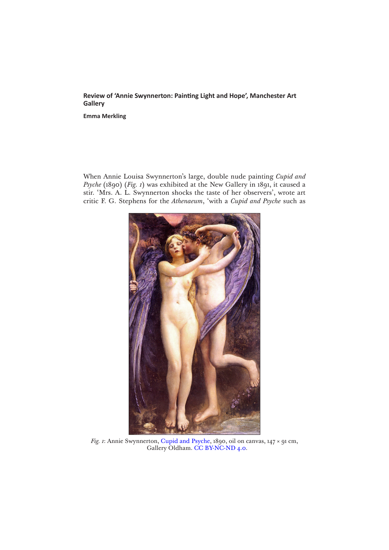## **Review of 'Annie Swynnerton: Painting Light and Hope', Manchester Art Gallery**

**Emma Merkling**

When Annie Louisa Swynnerton's large, double nude painting *Cupid and Psyche* (1890) (*Fig. 1*) was exhibited at the New Gallery in 1891, it caused a stir. 'Mrs. A. L. Swynnerton shocks the taste of her observers', wrote art critic F. G. Stephens for the *Athenaeum*, 'with a *Cupid and Psyche* such as



*Fig. 1*: Annie Swynnerton, [Cupid and Psyche](https://artuk.org/discover/artworks/cupid-and-psyche-90902), 1890, oil on canvas, 147 × 91 cm, Gallery Oldham. [CC BY-NC-ND 4.0](https://creativecommons.org/licenses/by-nc-nd/4.0/).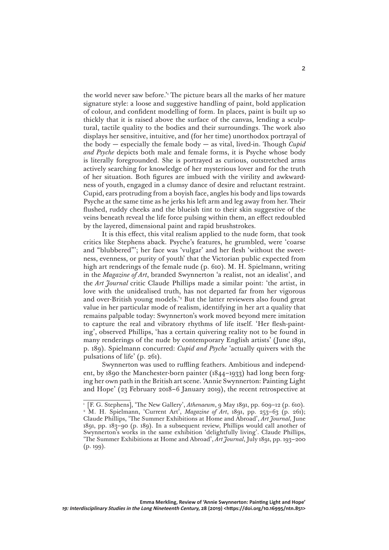the world never saw before.<sup>2</sup> The picture bears all the marks of her mature signature style: a loose and suggestive handling of paint, bold application of colour, and confident modelling of form. In places, paint is built up so thickly that it is raised above the surface of the canvas, lending a sculptural, tactile quality to the bodies and their surroundings. The work also displays her sensitive, intuitive, and (for her time) unorthodox portrayal of the body — especially the female body — as vital, lived-in. Though *Cupid and Psyche* depicts both male and female forms, it is Psyche whose body is literally foregrounded. She is portrayed as curious, outstretched arms actively searching for knowledge of her mysterious lover and for the truth of her situation. Both figures are imbued with the virility and awkwardness of youth, engaged in a clumsy dance of desire and reluctant restraint. Cupid, ears protruding from a boyish face, angles his body and lips towards Psyche at the same time as he jerks his left arm and leg away from her. Their flushed, ruddy cheeks and the blueish tint to their skin suggestive of the veins beneath reveal the life force pulsing within them, an effect redoubled by the layered, dimensional paint and rapid brushstrokes.

It is this effect, this vital realism applied to the nude form, that took critics like Stephens aback. Psyche's features, he grumbled, were 'coarse and "blubbered"'; her face was 'vulgar' and her flesh 'without the sweetness, evenness, or purity of youth' that the Victorian public expected from high art renderings of the female nude (p. 610). M. H. Spielmann, writing in the *Magazine of Art*, branded Swynnerton 'a realist, not an idealist', and the *Art Journal* critic Claude Phillips made a similar point: 'the artist, in love with the unidealised truth, has not departed far from her vigorous and over-British young models.'2 But the latter reviewers also found great value in her particular mode of realism, identifying in her art a quality that remains palpable today: Swynnerton's work moved beyond mere imitation to capture the real and vibratory rhythms of life itself. 'Her flesh-painting', observed Phillips, 'has a certain quivering reality not to be found in many renderings of the nude by contemporary English artists' (June 1891, p. 189). Spielmann concurred: *Cupid and Psyche* 'actually quivers with the pulsations of life' (p. 261).

Swynnerton was used to ruffling feathers. Ambitious and independent, by 1890 the Manchester-born painter (1844–1933) had long been forging her own path in the British art scene. 'Annie Swynnerton: Painting Light and Hope' (23 February 2018–6 January 2019), the recent retrospective at

<sup>1</sup> [F. G. Stephens], 'The New Gallery', *Athenaeum*, 9 May 1891, pp. 609–12 (p. 610). <sup>2</sup> M. H. Spielmann, 'Current Art', *Magazine of Art*, 1891, pp. 253-63 (p. 261); Claude Phillips, 'The Summer Exhibitions at Home and Abroad', *Art Journal*, June 1891, pp. 183–90 (p. 189). In a subsequent review, Phillips would call another of Swynnerton's works in the same exhibition 'delightfully living'. Claude Phillips, 'The Summer Exhibitions at Home and Abroad', *Art Journal*, July 1891, pp. 193–200  $(p. 199)$ .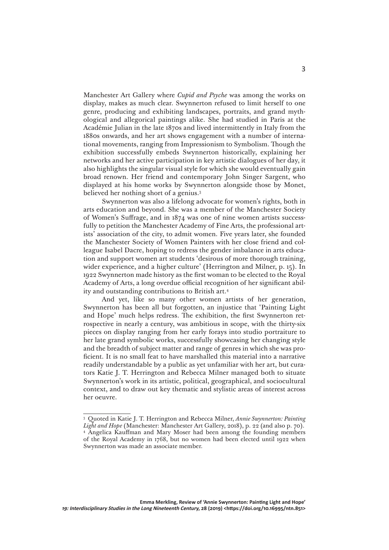Manchester Art Gallery where *Cupid and Psyche* was among the works on display, makes as much clear. Swynnerton refused to limit herself to one genre, producing and exhibiting landscapes, portraits, and grand mythological and allegorical paintings alike. She had studied in Paris at the Académie Julian in the late 1870s and lived intermittently in Italy from the 1880s onwards, and her art shows engagement with a number of international movements, ranging from Impressionism to Symbolism. Though the exhibition successfully embeds Swynnerton historically, explaining her networks and her active participation in key artistic dialogues of her day, it also highlights the singular visual style for which she would eventually gain broad renown. Her friend and contemporary John Singer Sargent, who displayed at his home works by Swynnerton alongside those by Monet, believed her nothing short of a genius.3

Swynnerton was also a lifelong advocate for women's rights, both in arts education and beyond. She was a member of the Manchester Society of Women's Suffrage, and in 1874 was one of nine women artists successfully to petition the Manchester Academy of Fine Arts, the professional artists' association of the city, to admit women. Five years later, she founded the Manchester Society of Women Painters with her close friend and colleague Isabel Dacre, hoping to redress the gender imbalance in arts education and support women art students 'desirous of more thorough training, wider experience, and a higher culture' (Herrington and Milner, p. 15). In 1922 Swynnerton made history as the first woman to be elected to the Royal Academy of Arts, a long overdue official recognition of her significant ability and outstanding contributions to British art.4

And yet, like so many other women artists of her generation, Swynnerton has been all but forgotten, an injustice that 'Painting Light and Hope' much helps redress. The exhibition, the first Swynnerton retrospective in nearly a century, was ambitious in scope, with the thirty-six pieces on display ranging from her early forays into studio portraiture to her late grand symbolic works, successfully showcasing her changing style and the breadth of subject matter and range of genres in which she was proficient. It is no small feat to have marshalled this material into a narrative readily understandable by a public as yet unfamiliar with her art, but curators Katie J. T. Herrington and Rebecca Milner managed both to situate Swynnerton's work in its artistic, political, geographical, and sociocultural context, and to draw out key thematic and stylistic areas of interest across her oeuvre.

<sup>3</sup> Quoted in Katie J. T. Herrington and Rebecca Milner, *Annie Swynnerton: Painting Light and Hope* (Manchester: Manchester Art Gallery, 2018), p. 22 (and also p. 70). <sup>4</sup> Angelica Kauffman and Mary Moser had been among the founding members of the Royal Academy in 1768, but no women had been elected until 1922 when Swynnerton was made an associate member.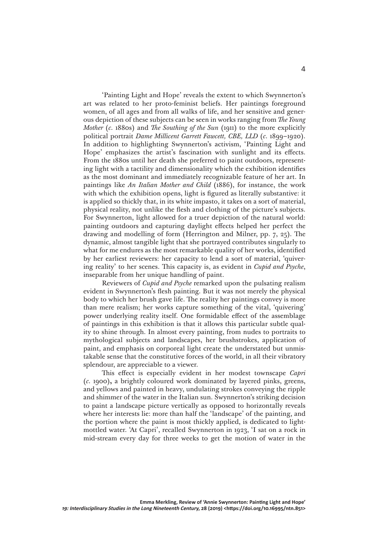'Painting Light and Hope' reveals the extent to which Swynnerton's art was related to her proto-feminist beliefs. Her paintings foreground women, of all ages and from all walks of life, and her sensitive and generous depiction of these subjects can be seen in works ranging from *The Young Mother* (*c.* 1880s) and *The Southing of the Sun* (1911) to the more explicitly political portrait *Dame Millicent Garrett Fawcett, CBE, LLD* (*c.* 1899–1920). In addition to highlighting Swynnerton's activism, 'Painting Light and Hope' emphasizes the artist's fascination with sunlight and its effects. From the 1880s until her death she preferred to paint outdoors, representing light with a tactility and dimensionality which the exhibition identifies as the most dominant and immediately recognizable feature of her art. In paintings like *An Italian Mother and Child* (1886), for instance, the work with which the exhibition opens, light is figured as literally substantive: it is applied so thickly that, in its white impasto, it takes on a sort of material, physical reality, not unlike the flesh and clothing of the picture's subjects. For Swynnerton, light allowed for a truer depiction of the natural world: painting outdoors and capturing daylight effects helped her perfect the drawing and modelling of form (Herrington and Milner, pp. 7, 25). The dynamic, almost tangible light that she portrayed contributes singularly to what for me endures as the most remarkable quality of her works, identified by her earliest reviewers: her capacity to lend a sort of material, 'quivering reality' to her scenes. This capacity is, as evident in *Cupid and Psyche*, inseparable from her unique handling of paint.

Reviewers of *Cupid and Psyche* remarked upon the pulsating realism evident in Swynnerton's flesh painting. But it was not merely the physical body to which her brush gave life. The reality her paintings convey is more than mere realism; her works capture something of the vital, 'quivering' power underlying reality itself. One formidable effect of the assemblage of paintings in this exhibition is that it allows this particular subtle quality to shine through. In almost every painting, from nudes to portraits to mythological subjects and landscapes, her brushstrokes, application of paint, and emphasis on corporeal light create the understated but unmistakable sense that the constitutive forces of the world, in all their vibratory splendour, are appreciable to a viewer.

This effect is especially evident in her modest townscape *Capri*  (*c.* 1900)**,** a brightly coloured work dominated by layered pinks, greens, and yellows and painted in heavy, undulating strokes conveying the ripple and shimmer of the water in the Italian sun. Swynnerton's striking decision to paint a landscape picture vertically as opposed to horizontally reveals where her interests lie: more than half the 'landscape' of the painting, and the portion where the paint is most thickly applied, is dedicated to lightmottled water. 'At Capri', recalled Swynnerton in 1923, 'I sat on a rock in mid-stream every day for three weeks to get the motion of water in the